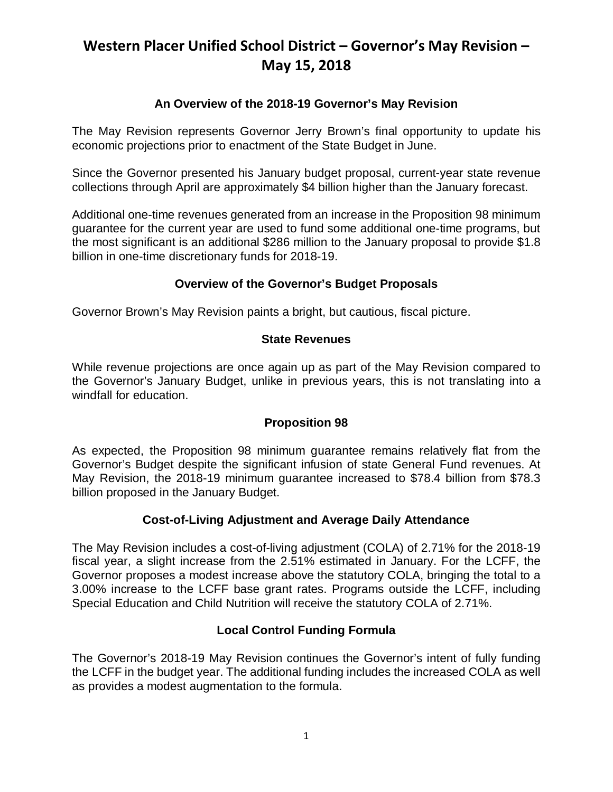# **Western Placer Unified School District – Governor's May Revision – May 15, 2018**

## **An Overview of the 2018-19 Governor's May Revision**

The May Revision represents Governor Jerry Brown's final opportunity to update his economic projections prior to enactment of the State Budget in June.

Since the Governor presented his January budget proposal, current-year state revenue collections through April are approximately \$4 billion higher than the January forecast.

Additional one-time revenues generated from an increase in the Proposition 98 minimum guarantee for the current year are used to fund some additional one-time programs, but the most significant is an additional \$286 million to the January proposal to provide \$1.8 billion in one-time discretionary funds for 2018-19.

### **Overview of the Governor's Budget Proposals**

Governor Brown's May Revision paints a bright, but cautious, fiscal picture.

### **State Revenues**

While revenue projections are once again up as part of the May Revision compared to the Governor's January Budget, unlike in previous years, this is not translating into a windfall for education.

### **Proposition 98**

As expected, the Proposition 98 minimum guarantee remains relatively flat from the Governor's Budget despite the significant infusion of state General Fund revenues. At May Revision, the 2018-19 minimum guarantee increased to \$78.4 billion from \$78.3 billion proposed in the January Budget.

### **Cost-of-Living Adjustment and Average Daily Attendance**

The May Revision includes a cost-of-living adjustment (COLA) of 2.71% for the 2018-19 fiscal year, a slight increase from the 2.51% estimated in January. For the LCFF, the Governor proposes a modest increase above the statutory COLA, bringing the total to a 3.00% increase to the LCFF base grant rates. Programs outside the LCFF, including Special Education and Child Nutrition will receive the statutory COLA of 2.71%.

### **Local Control Funding Formula**

The Governor's 2018-19 May Revision continues the Governor's intent of fully funding the LCFF in the budget year. The additional funding includes the increased COLA as well as provides a modest augmentation to the formula.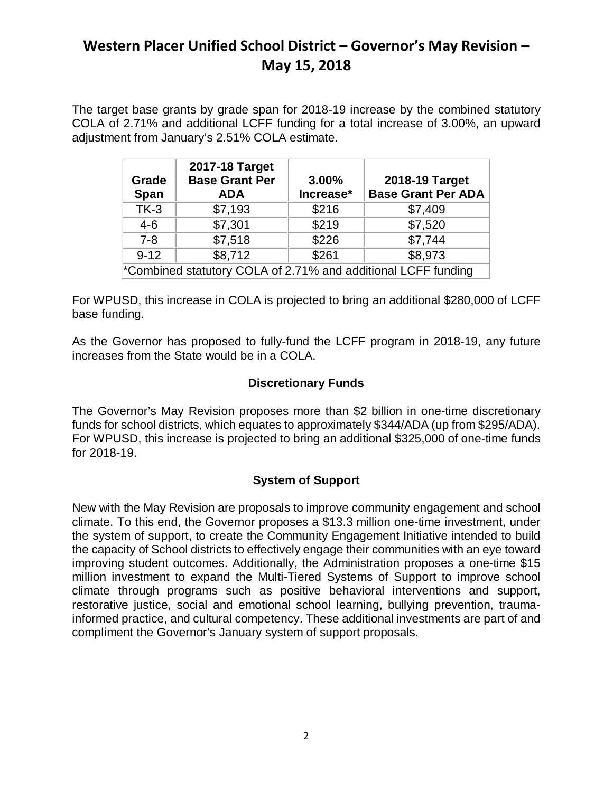# **Western Placer Unified School District – Governor's May Revision – May 15, 2018**

The target base grants by grade span for 2018-19 increase by the combined statutory COLA of 2.71% and additional LCFF funding for a total increase of 3.00%, an upward adjustment from January's 2.51% COLA estimate.

| Grade<br><b>Span</b>                                          | 2017-18 Target<br><b>Base Grant Per</b><br><b>ADA</b> | 3.00%<br>Increase* | 2018-19 Target<br><b>Base Grant Per ADA</b> |
|---------------------------------------------------------------|-------------------------------------------------------|--------------------|---------------------------------------------|
| $TK-3$                                                        | \$7,193                                               | \$216              | \$7,409                                     |
| $4 - 6$                                                       | \$7,301                                               | \$219              | \$7,520                                     |
| $7 - 8$                                                       | \$7,518                                               | \$226              | \$7,744                                     |
| $9 - 12$                                                      | \$8,712                                               | \$261              | \$8,973                                     |
| *Combined statutory COLA of 2.71% and additional LCFF funding |                                                       |                    |                                             |

For WPUSD, this increase in COLA is projected to bring an additional \$280,000 of LCFF base funding.

As the Governor has proposed to fully-fund the LCFF program in 2018-19, any future increases from the State would be in a COLA.

### **Discretionary Funds**

The Governor's May Revision proposes more than \$2 billion in one-time discretionary funds for school districts, which equates to approximately \$344/ADA (up from \$295/ADA). For WPUSD, this increase is projected to bring an additional \$325,000 of one-time funds for 2018-19.

## **System of Support**

New with the May Revision are proposals to improve community engagement and school climate. To this end, the Governor proposes a \$13.3 million one-time investment, under the system of support, to create the Community Engagement Initiative intended to build the capacity of School districts to effectively engage their communities with an eye toward improving student outcomes. Additionally, the Administration proposes a one-time \$15 million investment to expand the Multi-Tiered Systems of Support to improve school climate through programs such as positive behavioral interventions and support, restorative justice, social and emotional school learning, bullying prevention, traumainformed practice, and cultural competency. These additional investments are part of and compliment the Governor's January system of support proposals.